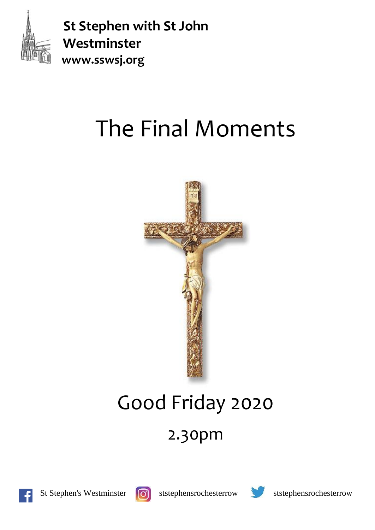

 **St Stephen with St John Westminster www.sswsj.org** 

# The Final Moments



## Good Friday 2020

### 2.30pm







St Stephen's Westminster  $\boxed{\bigcirc}$  ststephensrochesterrow ststephensrochesterrow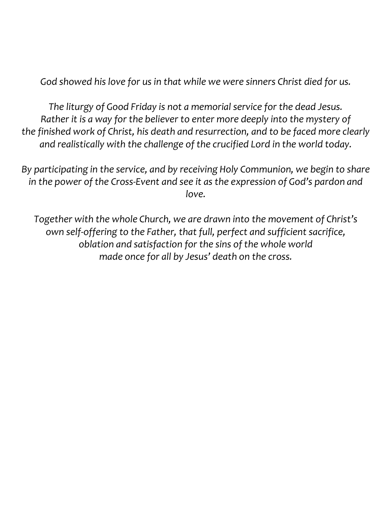*God showed his love for us in that while we were sinners Christ died for us.*

*The liturgy of Good Friday is not a memorial service for the dead Jesus. Rather it is a way for the believer to enter more deeply into the mystery of the finished work of Christ, his death and resurrection, and to be faced more clearly and realistically with the challenge of the crucified Lord in the world today.* 

*By participating in the service, and by receiving Holy Communion, we begin to share in the power of the Cross-Event and see it as the expression of God's pardon and love.*

*Together with the whole Church, we are drawn into the movement of Christ's own self-offering to the Father, that full, perfect and sufficient sacrifice, oblation and satisfaction for the sins of the whole world made once for all by Jesus' death on the cross.*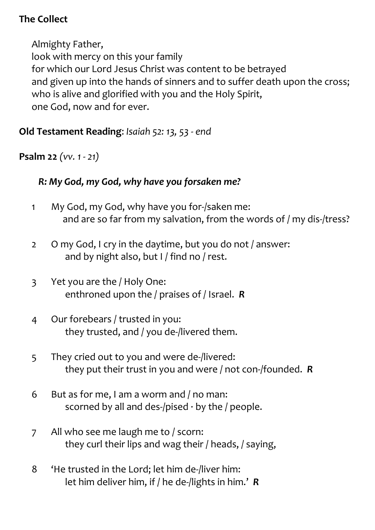#### **The Collect**

Almighty Father, look with mercy on this your family for which our Lord Jesus Christ was content to be betrayed and given up into the hands of sinners and to suffer death upon the cross; who is alive and glorified with you and the Holy Spirit, one God, now and for ever.

#### **Old Testament Reading**: *Isaiah 52: 13, 53 - end*

#### **Psalm 22** *(vv. 1 - 21)*

#### *R: My God, my God, why have you forsaken me?*

- 1 My God, my God, why have you for-/saken me: and are so far from my salvation, from the words of / my dis-/tress?
- 2 O my God, I cry in the daytime, but you do not / answer: and by night also, but I / find no / rest.
- 3 Yet you are the / Holy One: enthroned upon the / praises of / Israel. *R*
- 4 Our forebears / trusted in you: they trusted, and / you de-/livered them.
- 5 They cried out to you and were de-/livered: they put their trust in you and were / not con-/founded.*R*
- 6 But as for me, I am a worm and / no man: scorned by all and des-/pised  $\cdot$  by the / people.
- 7 All who see me laugh me to / scorn: they curl their lips and wag their / heads, / saying,
- 8 'He trusted in the Lord; let him de-/liver him: let him deliver him, if / he de-/lights in him.' *R*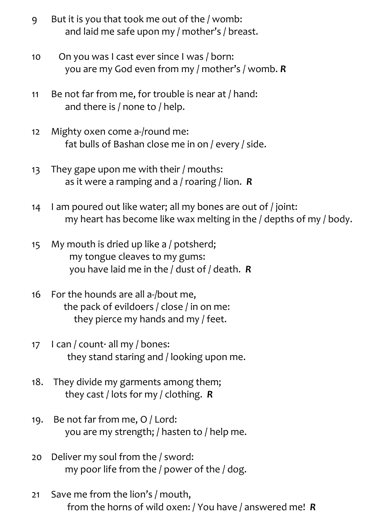- 9 But it is you that took me out of the / womb: and laid me safe upon my / mother's / breast.
- 10 On you was I cast ever since I was / born: you are my God even from my / mother's / womb. *R*
- 11 Be not far from me, for trouble is near at / hand: and there is / none to / help.
- 12 Mighty oxen come a-/round me: fat bulls of Bashan close me in on / every / side.
- 13 They gape upon me with their / mouths: as it were a ramping and a / roaring / lion. *R*
- 14 I am poured out like water; all my bones are out of / joint: my heart has become like wax melting in the / depths of my / body.
- 15 My mouth is dried up like a / potsherd; my tongue cleaves to my gums: you have laid me in the / dust of / death.*R*
- 16 For the hounds are all a-/bout me, the pack of evildoers / close / in on me: they pierce my hands and my / feet.
- 17  $\Box$  I can / count $\cdot$  all my / bones: they stand staring and / looking upon me.
- 18. They divide my garments among them; they cast / lots for my / clothing. *R*
- 19. Be not far from me, O / Lord: you are my strength; / hasten to / help me.
- 20 Deliver my soul from the / sword: my poor life from the / power of the / dog.
- 21 Save me from the lion's / mouth, from the horns of wild oxen: / You have / answered me! *R*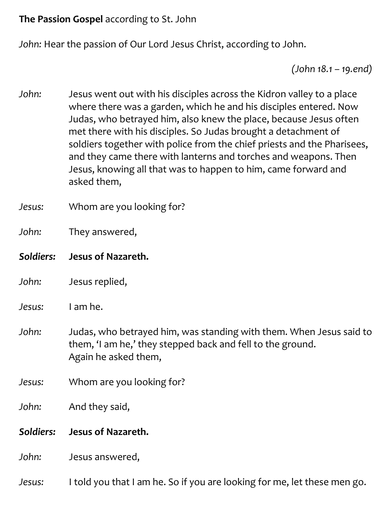**The Passion Gospel** according to St. John

*John:* Hear the passion of Our Lord Jesus Christ, according to John.

*(John 18.1 – 19.end)*

- *John:* Jesus went out with his disciples across the Kidron valley to a place where there was a garden, which he and his disciples entered. Now Judas, who betrayed him, also knew the place, because Jesus often met there with his disciples. So Judas brought a detachment of soldiers together with police from the chief priests and the Pharisees, and they came there with lanterns and torches and weapons. Then Jesus, knowing all that was to happen to him, came forward and asked them,
- *Jesus:* Whom are you looking for?
- *John:* They answered,
- *Soldiers:* **Jesus of Nazareth.**
- *John:* Jesus replied,
- *Jesus:* I am he.
- *John:* Judas, who betrayed him, was standing with them. When Jesus said to them, 'I am he,' they stepped back and fell to the ground. Again he asked them,
- *Jesus:* Whom are you looking for?
- *John:* And they said,
- *Soldiers:* **Jesus of Nazareth.**

*John:* Jesus answered,

*Jesus:* I told you that I am he. So if you are looking for me, let these men go.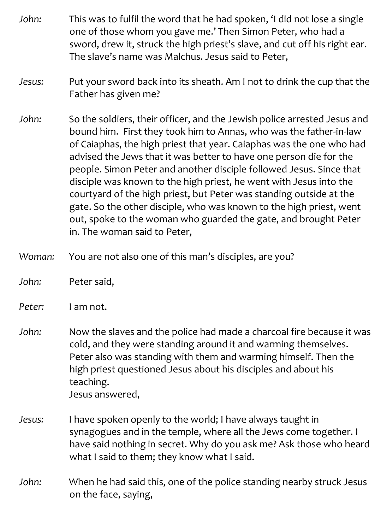- *John:* This was to fulfil the word that he had spoken, 'I did not lose a single one of those whom you gave me.' Then Simon Peter, who had a sword, drew it, struck the high priest's slave, and cut off his right ear. The slave's name was Malchus. Jesus said to Peter,
- *Jesus:* Put your sword back into its sheath. Am I not to drink the cup that the Father has given me?
- *John:* So the soldiers, their officer, and the Jewish police arrested Jesus and bound him. First they took him to Annas, who was the father-in-law of Caiaphas, the high priest that year. Caiaphas was the one who had advised the Jews that it was better to have one person die for the people. Simon Peter and another disciple followed Jesus. Since that disciple was known to the high priest, he went with Jesus into the courtyard of the high priest, but Peter was standing outside at the gate. So the other disciple, who was known to the high priest, went out, spoke to the woman who guarded the gate, and brought Peter in. The woman said to Peter,
- *Woman:* You are not also one of this man's disciples, are you?
- *John:* Peter said,
- *Peter:* I am not.
- *John:* Now the slaves and the police had made a charcoal fire because it was cold, and they were standing around it and warming themselves. Peter also was standing with them and warming himself. Then the high priest questioned Jesus about his disciples and about his teaching. Jesus answered,
- *Jesus:* I have spoken openly to the world; I have always taught in synagogues and in the temple, where all the Jews come together. I have said nothing in secret. Why do you ask me? Ask those who heard what I said to them; they know what I said.
- *John:* When he had said this, one of the police standing nearby struck Jesus on the face, saying,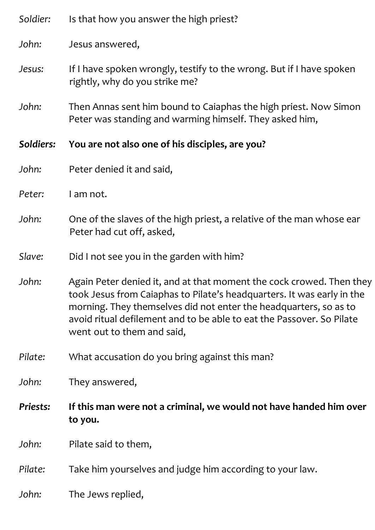| Soldier:  | Is that how you answer the high priest?                                                                                                                                                                                                                                                                                    |
|-----------|----------------------------------------------------------------------------------------------------------------------------------------------------------------------------------------------------------------------------------------------------------------------------------------------------------------------------|
| John:     | Jesus answered,                                                                                                                                                                                                                                                                                                            |
| Jesus:    | If I have spoken wrongly, testify to the wrong. But if I have spoken<br>rightly, why do you strike me?                                                                                                                                                                                                                     |
| John:     | Then Annas sent him bound to Caiaphas the high priest. Now Simon<br>Peter was standing and warming himself. They asked him,                                                                                                                                                                                                |
| Soldiers: | You are not also one of his disciples, are you?                                                                                                                                                                                                                                                                            |
| John:     | Peter denied it and said,                                                                                                                                                                                                                                                                                                  |
| Peter:    | I am not.                                                                                                                                                                                                                                                                                                                  |
| John:     | One of the slaves of the high priest, a relative of the man whose ear<br>Peter had cut off, asked,                                                                                                                                                                                                                         |
| Slave:    | Did I not see you in the garden with him?                                                                                                                                                                                                                                                                                  |
| John:     | Again Peter denied it, and at that moment the cock crowed. Then they<br>took Jesus from Caiaphas to Pilate's headquarters. It was early in the<br>morning. They themselves did not enter the headquarters, so as to<br>avoid ritual defilement and to be able to eat the Passover. So Pilate<br>went out to them and said, |
| Pilate:   | What accusation do you bring against this man?                                                                                                                                                                                                                                                                             |
| John:     | They answered,                                                                                                                                                                                                                                                                                                             |
| Priests:  | If this man were not a criminal, we would not have handed him over<br>to you.                                                                                                                                                                                                                                              |
| John:     | Pilate said to them,                                                                                                                                                                                                                                                                                                       |
| Pilate:   | Take him yourselves and judge him according to your law.                                                                                                                                                                                                                                                                   |
| John:     | The Jews replied,                                                                                                                                                                                                                                                                                                          |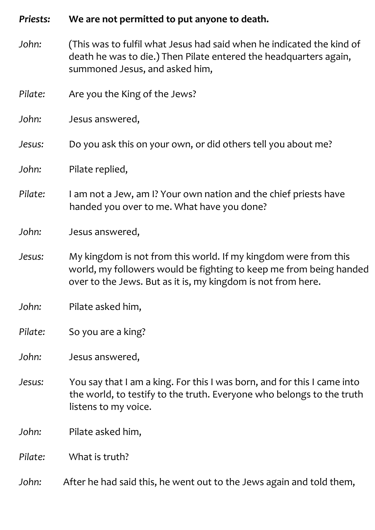#### *Priests:* **We are not permitted to put anyone to death.**

- *John:* (This was to fulfil what Jesus had said when he indicated the kind of death he was to die.) Then Pilate entered the headquarters again, summoned Jesus, and asked him,
- *Pilate:* Are you the King of the Jews?
- *John:* Jesus answered,
- *Jesus:* Do you ask this on your own, or did others tell you about me?
- *John:* Pilate replied,
- *Pilate:* I am not a Jew, am I? Your own nation and the chief priests have handed you over to me. What have you done?
- *John:* Jesus answered,
- *Jesus:* My kingdom is not from this world. If my kingdom were from this world, my followers would be fighting to keep me from being handed over to the Jews. But as it is, my kingdom is not from here.
- *John:* Pilate asked him,
- *Pilate:* So you are a king?
- *John:* Jesus answered,
- *Jesus:* You say that I am a king. For this I was born, and for this I came into the world, to testify to the truth. Everyone who belongs to the truth listens to my voice.
- *John:* Pilate asked him,
- *Pilate:* What is truth?
- *John:* After he had said this, he went out to the Jews again and told them,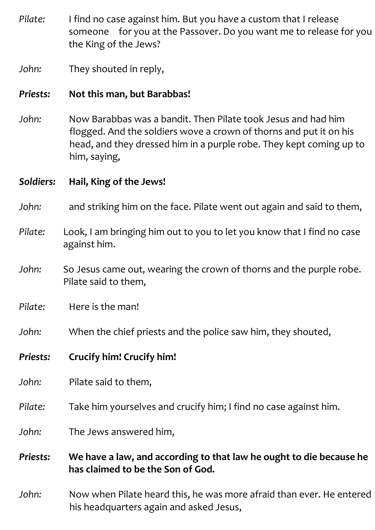*Pilate:* I find no case against him. But you have a custom that I release someone for you at the Passover. Do you want me to release for you the King of the Jews?

*John:* They shouted in reply,

#### *Priests:* **Not this man, but Barabbas!**

*John:* Now Barabbas was a bandit. Then Pilate took Jesus and had him flogged. And the soldiers wove a crown of thorns and put it on his head, and they dressed him in a purple robe. They kept coming up to him, saying,

#### *Soldiers:* **Hail, King of the Jews!**

*John:* and striking him on the face. Pilate went out again and said to them,

- *Pilate:* Look, I am bringing him out to you to let you know that I find no case against him.
- *John:* So Jesus came out, wearing the crown of thorns and the purple robe. Pilate said to them,

*Pilate:* Here is the man!

*John:* When the chief priests and the police saw him, they shouted,

#### *Priests:* **Crucify him! Crucify him!**

*John:* Pilate said to them,

*Pilate:* Take him yourselves and crucify him; I find no case against him.

*John:* The Jews answered him,

- *Priests:* **We have a law, and according to that law he ought to die because he has claimed to be the Son of God.**
- *John:* Now when Pilate heard this, he was more afraid than ever. He entered his headquarters again and asked Jesus,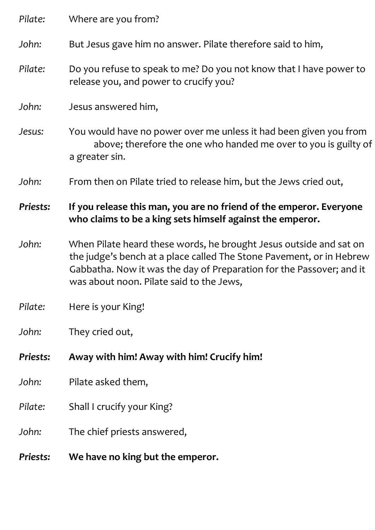| Pilate:  | Where are you from?                                                                                                                                                                                                                                            |
|----------|----------------------------------------------------------------------------------------------------------------------------------------------------------------------------------------------------------------------------------------------------------------|
| John:    | But Jesus gave him no answer. Pilate therefore said to him,                                                                                                                                                                                                    |
| Pilate:  | Do you refuse to speak to me? Do you not know that I have power to<br>release you, and power to crucify you?                                                                                                                                                   |
| John:    | Jesus answered him,                                                                                                                                                                                                                                            |
| Jesus:   | You would have no power over me unless it had been given you from<br>above; therefore the one who handed me over to you is guilty of<br>a greater sin.                                                                                                         |
| John:    | From then on Pilate tried to release him, but the Jews cried out,                                                                                                                                                                                              |
| Priests: | If you release this man, you are no friend of the emperor. Everyone<br>who claims to be a king sets himself against the emperor.                                                                                                                               |
| John:    | When Pilate heard these words, he brought Jesus outside and sat on<br>the judge's bench at a place called The Stone Pavement, or in Hebrew<br>Gabbatha. Now it was the day of Preparation for the Passover; and it<br>was about noon. Pilate said to the Jews, |
| Pilate:  | Here is your King!                                                                                                                                                                                                                                             |
| John:    | They cried out,                                                                                                                                                                                                                                                |
| Priests: | Away with him! Away with him! Crucify him!                                                                                                                                                                                                                     |
| John:    | Pilate asked them,                                                                                                                                                                                                                                             |
| Pilate:  | Shall I crucify your King?                                                                                                                                                                                                                                     |
| John:    | The chief priests answered,                                                                                                                                                                                                                                    |
| Priests: | We have no king but the emperor.                                                                                                                                                                                                                               |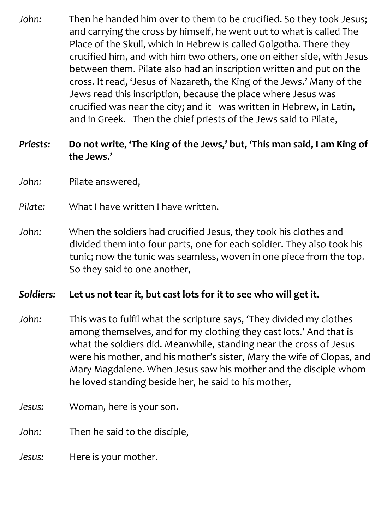*John:* Then he handed him over to them to be crucified. So they took Jesus; and carrying the cross by himself, he went out to what is called The Place of the Skull, which in Hebrew is called Golgotha. There they crucified him, and with him two others, one on either side, with Jesus between them. Pilate also had an inscription written and put on the cross. It read, 'Jesus of Nazareth, the King of the Jews.' Many of the Jews read this inscription, because the place where Jesus was crucified was near the city; and it was written in Hebrew, in Latin, and in Greek. Then the chief priests of the Jews said to Pilate,

#### *Priests:* **Do not write, 'The King of the Jews,' but, 'This man said, I am King of the Jews.'**

- *John:* Pilate answered,
- *Pilate:* What I have written I have written.
- *John:* When the soldiers had crucified Jesus, they took his clothes and divided them into four parts, one for each soldier. They also took his tunic; now the tunic was seamless, woven in one piece from the top. So they said to one another,

#### *Soldiers:* **Let us not tear it, but cast lots for it to see who will get it.**

- *John:* This was to fulfil what the scripture says, 'They divided my clothes among themselves, and for my clothing they cast lots.' And that is what the soldiers did. Meanwhile, standing near the cross of Jesus were his mother, and his mother's sister, Mary the wife of Clopas, and Mary Magdalene. When Jesus saw his mother and the disciple whom he loved standing beside her, he said to his mother,
- *Jesus:* Woman, here is your son.
- *John:* Then he said to the disciple,
- *Jesus:* Here is your mother.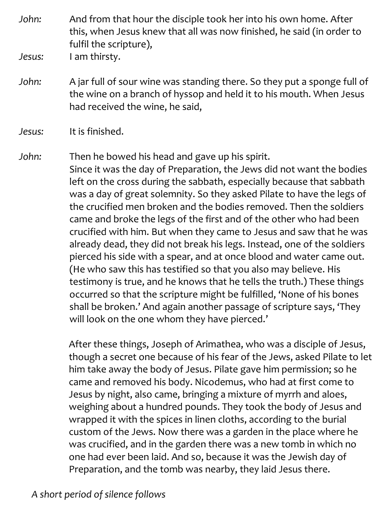*John:* And from that hour the disciple took her into his own home. After this, when Jesus knew that all was now finished, he said (in order to fulfil the scripture),

*Jesus:* I am thirsty.

*John:* A jar full of sour wine was standing there. So they put a sponge full of the wine on a branch of hyssop and held it to his mouth. When Jesus had received the wine, he said,

*Jesus:* It is finished.

*John:* Then he bowed his head and gave up his spirit. Since it was the day of Preparation, the Jews did not want the bodies left on the cross during the sabbath, especially because that sabbath was a day of great solemnity. So they asked Pilate to have the legs of the crucified men broken and the bodies removed. Then the soldiers came and broke the legs of the first and of the other who had been crucified with him. But when they came to Jesus and saw that he was already dead, they did not break his legs. Instead, one of the soldiers pierced his side with a spear, and at once blood and water came out. (He who saw this has testified so that you also may believe. His testimony is true, and he knows that he tells the truth.) These things occurred so that the scripture might be fulfilled, 'None of his bones shall be broken.' And again another passage of scripture says, 'They will look on the one whom they have pierced.'

> After these things, Joseph of Arimathea, who was a disciple of Jesus, though a secret one because of his fear of the Jews, asked Pilate to let him take away the body of Jesus. Pilate gave him permission; so he came and removed his body. Nicodemus, who had at first come to Jesus by night, also came, bringing a mixture of myrrh and aloes, weighing about a hundred pounds. They took the body of Jesus and wrapped it with the spices in linen cloths, according to the burial custom of the Jews. Now there was a garden in the place where he was crucified, and in the garden there was a new tomb in which no one had ever been laid. And so, because it was the Jewish day of Preparation, and the tomb was nearby, they laid Jesus there.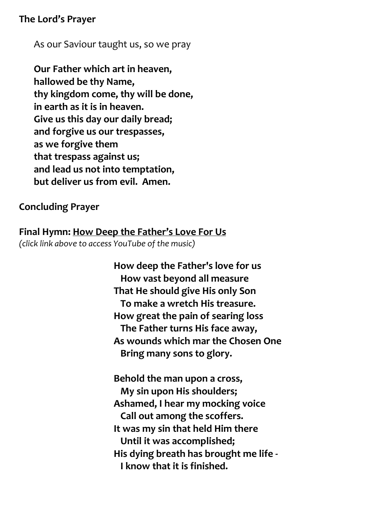#### **The Lord's Prayer**

As our Saviour taught us, so we pray

**Our Father which art in heaven, hallowed be thy Name, thy kingdom come, thy will be done, in earth as it is in heaven. Give us this day our daily bread; and forgive us our trespasses, as we forgive them that trespass against us; and lead us not into temptation, but deliver us from evil. Amen.**

#### **Concluding Prayer**

### **Final Hymn: How Deep the [Father's](https://www.youtube.com/watch?v=dLDGVl8D5UU) Love For Us**

*(click link above to access YouTube of the music)*

**How deep the Father's love for us How vast beyond all measure That He should give His only Son To make a wretch His treasure. How great the pain of searing loss The Father turns His face away, As wounds which mar the Chosen One Bring many sons to glory.**

**Behold the man upon a cross, My sin upon His shoulders; Ashamed, I hear my mocking voice Call out among the scoffers. It was my sin that held Him there Until it was accomplished; His dying breath has brought me life - I know that it is finished.**